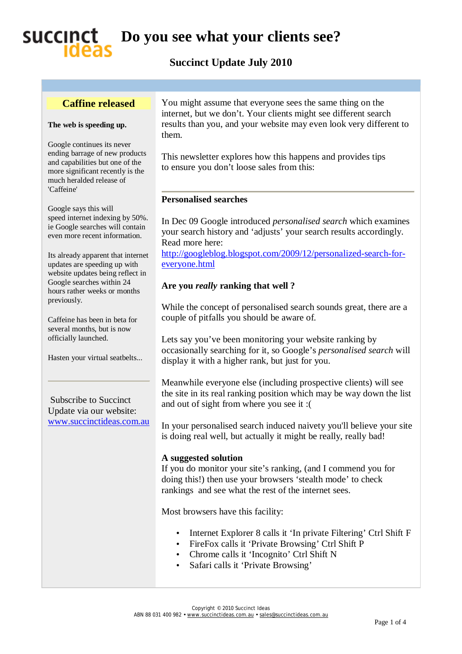## succinct **Do you see what your clients see?**

## **Succinct Update July 2010**

### **Caffine released**

#### **The web is speeding up.**

Google continues its never ending barrage of new products and capabilities but one of the more significant recently is the much heralded release of 'Caffeine'

Google says this will speed internet indexing by 50%. ie Google searches will contain even more recent information.

Its already apparent that internet updates are speeding up with website updates being reflect in Google searches within 24 hours rather weeks or months previously.

Caffeine has been in beta for several months, but is now officially launched.

Hasten your virtual seatbelts...

Subscribe to Succinct Update via our website: [www.succinctideas.com.au](http://www.succinctideas.com.au) You might assume that everyone sees the same thing on the internet, but we don't. Your clients might see different search results than you, and your website may even look very different to them.

This newsletter explores how this happens and provides tips to ensure you don't loose sales from this:

### **Personalised searches**

In Dec 09 Google introduced *personalised search* which examines your search history and 'adjusts' your search results accordingly. Read more here:

<http://googleblog.blogspot.com/2009/12/personalized-search-for>everyone.html

### **Are you** *really* **ranking that well ?**

While the concept of personalised search sounds great, there are a couple of pitfalls you should be aware of.

Lets say you've been monitoring your website ranking by occasionally searching for it, so Google's *personalised search* will display it with a higher rank, but just for you.

Meanwhile everyone else (including prospective clients) will see the site in its real ranking position which may be way down the list and out of sight from where you see it :(

In your personalised search induced naivety you'll believe your site is doing real well, but actually it might be really, really bad!

### **A suggested solution**

If you do monitor your site's ranking, (and I commend you for doing this!) then use your browsers 'stealth mode' to check rankings and see what the rest of the internet sees.

Most browsers have this facility:

- Internet Explorer 8 calls it 'In private Filtering' Ctrl Shift F
- FireFox calls it 'Private Browsing' Ctrl Shift P
- Chrome calls it 'Incognito' Ctrl Shift N
- Safari calls it 'Private Browsing'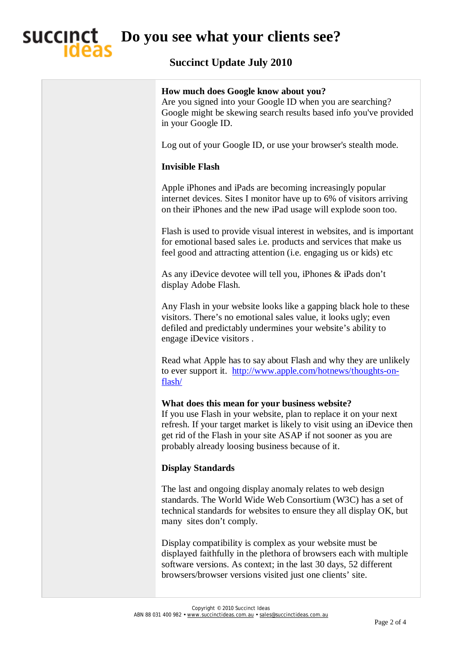# **Do you see what your clients see?**

## **Succinct Update July 2010**

| How much does Google know about you?<br>Are you signed into your Google ID when you are searching?<br>Google might be skewing search results based info you've provided<br>in your Google ID.                                                                                                                         |
|-----------------------------------------------------------------------------------------------------------------------------------------------------------------------------------------------------------------------------------------------------------------------------------------------------------------------|
| Log out of your Google ID, or use your browser's stealth mode.                                                                                                                                                                                                                                                        |
| <b>Invisible Flash</b>                                                                                                                                                                                                                                                                                                |
| Apple iPhones and iPads are becoming increasingly popular<br>internet devices. Sites I monitor have up to 6% of visitors arriving<br>on their iPhones and the new iPad usage will explode soon too.                                                                                                                   |
| Flash is used to provide visual interest in websites, and is important<br>for emotional based sales i.e. products and services that make us<br>feel good and attracting attention (i.e. engaging us or kids) etc                                                                                                      |
| As any iDevice devotee will tell you, iPhones & iPads don't<br>display Adobe Flash.                                                                                                                                                                                                                                   |
| Any Flash in your website looks like a gapping black hole to these<br>visitors. There's no emotional sales value, it looks ugly; even<br>defiled and predictably undermines your website's ability to<br>engage iDevice visitors.                                                                                     |
| Read what Apple has to say about Flash and why they are unlikely<br>to ever support it. http://www.apple.com/hotnews/thoughts-on-<br>flash/                                                                                                                                                                           |
| What does this mean for your business website?<br>If you use Flash in your website, plan to replace it on your next<br>refresh. If your target market is likely to visit using an iDevice then<br>get rid of the Flash in your site ASAP if not sooner as you are<br>probably already loosing business because of it. |
| <b>Display Standards</b>                                                                                                                                                                                                                                                                                              |
| The last and ongoing display anomaly relates to web design<br>standards. The World Wide Web Consortium (W3C) has a set of<br>technical standards for websites to ensure they all display OK, but<br>many sites don't comply.                                                                                          |
| Display compatibility is complex as your website must be<br>displayed faithfully in the plethora of browsers each with multiple<br>software versions. As context; in the last 30 days, 52 different<br>browsers/browser versions visited just one clients' site.                                                      |
|                                                                                                                                                                                                                                                                                                                       |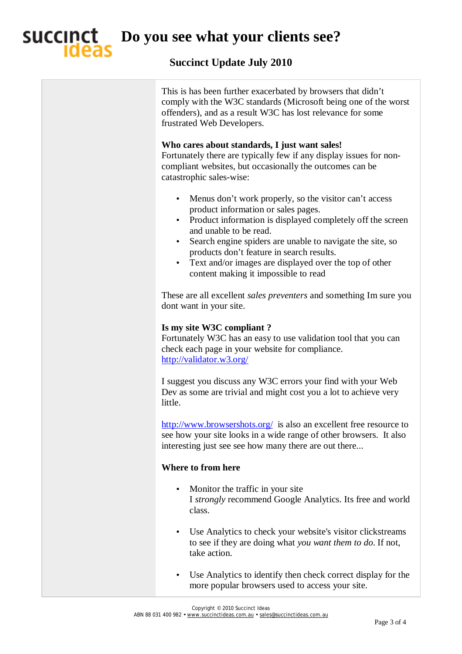

**Do you see what your clients see?** 

### **Succinct Update July 2010**

This is has been further exacerbated by browsers that didn't comply with the W3C standards (Microsoft being one of the worst offenders), and as a result W3C has lost relevance for some frustrated Web Developers.

### **Who cares about standards, I just want sales!**

Fortunately there are typically few if any display issues for noncompliant websites, but occasionally the outcomes can be catastrophic sales-wise:

- Menus don't work properly, so the visitor can't access product information or sales pages.
- Product information is displayed completely off the screen and unable to be read.
- Search engine spiders are unable to navigate the site, so products don't feature in search results.
- Text and/or images are displayed over the top of other content making it impossible to read

These are all excellent *sales preventers* and something Im sure you dont want in your site.

### **Is my site W3C compliant ?**

Fortunately W3C has an easy to use validation tool that you can check each page in your website for compliance. <http://validator.w3.org/>

I suggest you discuss any W3C errors your find with your Web Dev as some are trivial and might cost you a lot to achieve very little.

<http://www.browsershots.org/> is also an excellent free resource to see how your site looks in a wide range of other browsers. It also interesting just see see how many there are out there...

### **Where to from here**

- Monitor the traffic in your site I *strongly* recommend Google Analytics. Its free and world class.
- Use Analytics to check your website's visitor clickstreams to see if they are doing what *you want them to do*. If not, take action.
- Use Analytics to identify then check correct display for the more popular browsers used to access your site.